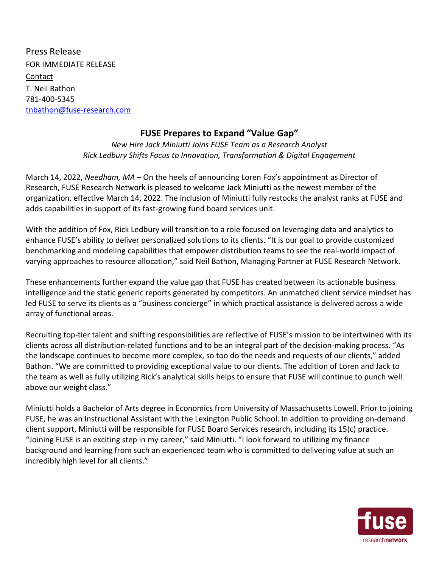Press Release FOR IMMEDIATE RELEASE Contact T. Neil Bathon 781-400-5345 tnbathon@fuse-research.com

## **FUSE Prepares to Expand "Value Gap"**

*New Hire Jack Miniutti Joins FUSE Team as a Research Analyst Rick Ledbury Shifts Focus to Innovation, Transformation & Digital Engagement*

March 14, 2022, *Needham, MA* – On the heels of announcing Loren Fox's appointment as Director of Research, FUSE Research Network is pleased to welcome Jack Miniutti as the newest member of the organization, effective March 14, 2022. The inclusion of Miniutti fully restocks the analyst ranks at FUSE and adds capabilities in support of its fast-growing fund board services unit.

With the addition of Fox, Rick Ledbury will transition to a role focused on leveraging data and analytics to enhance FUSE's ability to deliver personalized solutions to its clients. "It is our goal to provide customized benchmarking and modeling capabilities that empower distribution teams to see the real-world impact of varying approaches to resource allocation," said Neil Bathon, Managing Partner at FUSE Research Network.

These enhancements further expand the value gap that FUSE has created between its actionable business intelligence and the static generic reports generated by competitors. An unmatched client service mindset has led FUSE to serve its clients as a "business concierge" in which practical assistance is delivered across a wide array of functional areas.

Recruiting top-tier talent and shifting responsibilities are reflective of FUSE's mission to be intertwined with its clients across all distribution-related functions and to be an integral part of the decision-making process. "As the landscape continues to become more complex, so too do the needs and requests of our clients," added Bathon. "We are committed to providing exceptional value to our clients. The addition of Loren and Jack to the team as well as fully utilizing Rick's analytical skills helps to ensure that FUSE will continue to punch well above our weight class."

Miniutti holds a Bachelor of Arts degree in Economics from University of Massachusetts Lowell. Prior to joining FUSE, he was an Instructional Assistant with the Lexington Public School. In addition to providing on-demand client support, Miniutti will be responsible for FUSE Board Services research, including its 15(c) practice. "Joining FUSE is an exciting step in my career," said Miniutti. "I look forward to utilizing my finance background and learning from such an experienced team who is committed to delivering value at such an incredibly high level for all clients."